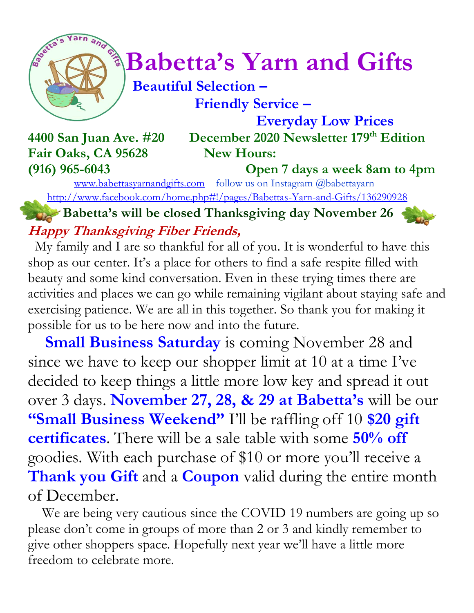

# *Constrainary***</del> Babetta's Yarn and Gifts**

# **Beautiful Selection – Friendly Service –**

 **Everyday Low Prices 4400 San Juan Ave. #20 December 2020 Newsletter 179 th Edition**

Fair Oaks, CA 95628 New Hours: **(916) 965-6043 Open 7 days a week 8am to 4pm**

[www.babettasyarnandgifts.com](http://www.babettasyarnandgifts.com/) follow us on Instagram @babettayarn <http://www.facebook.com/home.php#!/pages/Babettas-Yarn-and-Gifts/136290928>

**Babetta's will be closed Thanksgiving day November 26 Happy Thanksgiving Fiber Friends,**

My family and I are so thankful for all of you. It is wonderful to have this shop as our center. It's a place for others to find a safe respite filled with beauty and some kind conversation. Even in these trying times there are activities and places we can go while remaining vigilant about staying safe and exercising patience. We are all in this together. So thank you for making it possible for us to be here now and into the future.

**Small Business Saturday** is coming November 28 and since we have to keep our shopper limit at 10 at a time I've decided to keep things a little more low key and spread it out over 3 days. **November 27, 28, & 29 at Babetta's** will be our **"Small Business Weekend"** I'll be raffling off 10 **\$20 gift certificates**. There will be a sale table with some **50% off** goodies. With each purchase of \$10 or more you'll receive a **Thank you Gift** and a **Coupon** valid during the entire month of December.

 We are being very cautious since the COVID 19 numbers are going up so please don't come in groups of more than 2 or 3 and kindly remember to give other shoppers space. Hopefully next year we'll have a little more freedom to celebrate more.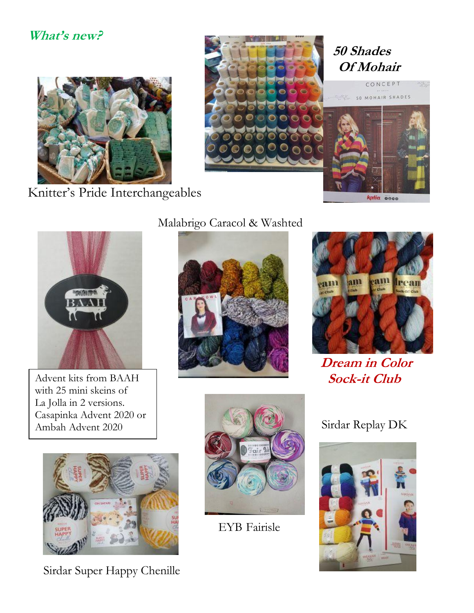#### **What's new?**



Knitter's Pride Interchangeables





Advent kits from BAAH with 25 mini skeins of La Jolla in 2 versions. Casapinka Advent 2020 or Ambah Advent 2020



Sirdar Super Happy Chenille

#### Malabrigo Caracol & Washted





 **Dream in Color Sock-it Club**



EYB Fairisle

#### Sirdar Replay DK

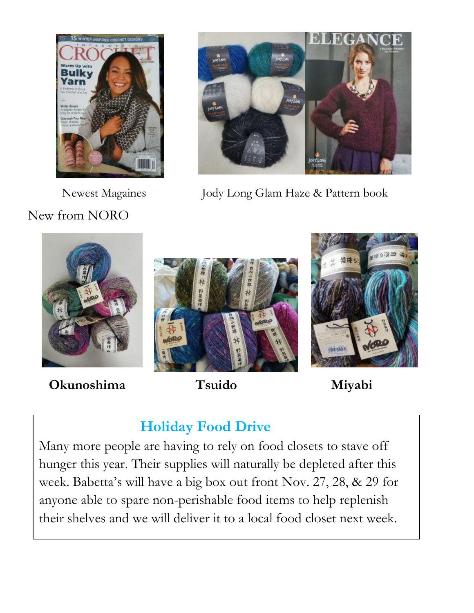

New from NORO



Newest Magaines Jody Long Glam Haze & Pattern book



 **Okunoshima Tsuido Miyabi**

# **Holiday Food Drive**

Many more people are having to rely on food closets to stave off hunger this year. Their supplies will naturally be depleted after this week. Babetta's will have a big box out front Nov. 27, 28, & 29 for anyone able to spare non-perishable food items to help replenish their shelves and we will deliver it to a local food closet next week.